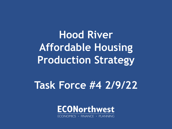**Hood River Affordable Housing Production Strategy**

# **Task Force #4 2/9/22**



ECONOMICS · FINANCE · PLANNING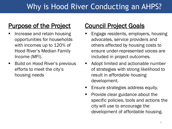# Why is Hood River Conducting an AHPS?

#### Purpose of the Project

- Increase and retain housing opportunities for households with incomes up to 120% of Hood River's Median Family Income (MFI).
- Build on Hood River's previous efforts to meet the city's housing needs

#### Council Project Goals

- Engage residents, employers, housing advocates, service providers and others affected by housing costs to ensure under-represented voices are included in project outcomes.
- Adopt limited and actionable number of strategies with strong likelihood to result in affordable housing development.
- Ensure strategies address equity.
- $\blacksquare$  Provide clear guidance about the specific policies, tools and actions the city will use to encourage the development of affordable housing.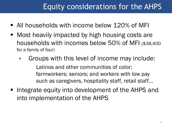# Equity considerations for the AHPS

- All households with income below 120% of MFI
- Most heavily impacted by high housing costs are households with incomes below 50% of MFI (\$38,400 for a family of four)
	- Groups with this level of income may include: Latinos and other communities of color; farmworkers; seniors; and workers with low pay such as caregivers, hospitality staff, retail staff…
- Integrate equity into development of the AHPS and into implementation of the AHPS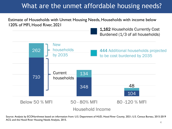#### What are the unmet affordable housing needs?

Estimate of Households with Unmet Housing Needs, Households with income below 120% of MFI, Hood River, 2021

> 1,162 Households Currently Cost Burdened (1/3 of all households)



Source: Analysis by ECONorthwest based on information from: U.S. Department of HUD, Hood River County, 2021; U.S. Census Bureau, 2015-2019 ACS; and the Hood River Housing Needs Analysis, 2015.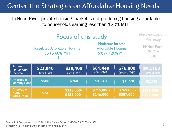#### Center the Strategies on Affordable Housing Needs

In Hood River, private housing market is not producing housing affordable to households earning less than 120% MFI.



<sup>5</sup> Source: U.S. Department of HUD 2021. U.S. Census Bureau, 2015-2019 ACS Table 19001. Note: MFI is Median Family Income for a Family of 4.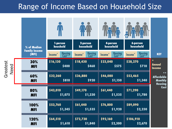### Range of Income Based on Household Size

|  | % of Median<br><b>Family Income</b><br>(MFI) | 1-person<br>houshold           | 2-person<br>household          | 4-person<br>household           | 6-person<br>household          |                                                                |  |
|--|----------------------------------------------|--------------------------------|--------------------------------|---------------------------------|--------------------------------|----------------------------------------------------------------|--|
|  |                                              | Housing<br>Cost**<br>$Income*$ | Housing<br>Cost**<br>$Income*$ | Housing<br>Cost **<br>$Income*$ | Housing<br>Cost**<br>$Income*$ | <b>KEY</b>                                                     |  |
|  | 30%<br><b>MFI</b>                            | \$16,130<br>\$400              | \$18,430<br>\$460              | \$23,040<br>\$575               | \$28,270<br>\$710              | $\star$<br><b>Annual</b><br>Income                             |  |
|  | 60%<br><b>MFI</b>                            | \$32,260<br>\$810              | \$36,880<br>\$920              | \$46,080<br>\$1,150             | \$53,465<br>\$1,340            | $* *$<br><b>Affordable</b><br><b>Monthly</b><br><b>Housing</b> |  |
|  | 80%<br><b>MFI</b>                            | \$43,010<br>\$1,075            | \$49,170<br>\$1,230            | \$61,440<br>\$1,535             | \$71,290<br>\$1,780            | Cost                                                           |  |
|  | 100%<br><b>MFI</b>                           | \$53,760<br>\$1,345            | \$61,440<br>\$1,535            | \$76,800<br>\$1,920             | \$89,090<br>\$2,230            |                                                                |  |
|  | 120%<br><b>MFI</b>                           | \$64,510<br>\$1,610            | \$73,730<br>\$1,840            | \$92,160<br>\$2,300             | \$106,910<br>\$2,670           |                                                                |  |

Greatest Greatest<br>Need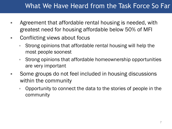#### What We Have Heard from the Task Force So Far

- Agreement that affordable rental housing is needed, with greatest need for housing affordable below 50% of MFI
- **EXECONFFERITY CONFLICTION CONTROLLY** 
	- Strong opinions that affordable rental housing will help the most people soonest
	- Strong opinions that affordable homeownership opportunities are very important
- Some groups do not feel included in housing discussions within the community
	- Opportunity to connect the data to the stories of people in the community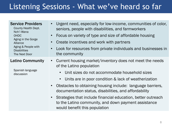## Listening Sessions - What we've heard so far

#### Service Providers

County Health Dept. Nch'i Wana OHDC Aging in the Gorge Alliance Aging & People with **Disabilities** The Next Door

#### Latino Community

Spanish language discussion

- Urgent need, especially for low-income, communities of color, seniors, people with disabilities, and farmworkers
- Focus on variety of type and size of affordable housing
- Create incentives and work with partners
- Look for resources from private individuals and businesses in the community
- Current housing market/inventory does not meet the needs of the Latino population
	- Unit sizes do not accommodate household sizes
	- Units are in poor condition & lack of weatherization
- Obstacles to obtaining housing include: language barriers, documentation status, disabilities, and affordability
- Strategies that include financial education, better outreach to the Latino community, and down payment assistance would benefit this population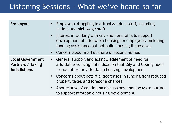### Listening Sessions - What we've heard so far

| <b>Employers</b>                                                     | Employers struggling to attract & retain staff, including<br>middle and high wage staff<br>Interest in working with city and nonprofits to support<br>$\bullet$<br>development of affordable housing for employees, including<br>funding assistance but not build housing themselves<br>Concern about market share of second homes |
|----------------------------------------------------------------------|------------------------------------------------------------------------------------------------------------------------------------------------------------------------------------------------------------------------------------------------------------------------------------------------------------------------------------|
| <b>Local Government</b><br>Partners / Taxing<br><b>Jurisdictions</b> | General support and acknowledgement of need for<br>$\bullet$<br>affordable housing but indication that City and County need<br>to lead effort on affordable housing development<br>Concerns about potential decreases in funding from reduced<br>property taxes and foregone charges                                               |
|                                                                      | Appreciative of continuing discussions about ways to partner<br>to support affordable housing development                                                                                                                                                                                                                          |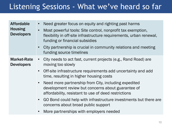### Listening Sessions - What we've heard so far

| <b>Housing</b><br>Most powerful tools: Site control, nonprofit tax exemption,<br>$\bullet$<br><b>Developers</b><br>flexibility in off-site infrastructure requirements, urban renewal,<br>funding or financial subsidies<br>City partnership is crucial in community relations and meeting<br>$\bullet$<br>funding source timelines<br><b>Market-Rate</b><br>City needs to act fast, current projects (e.g., Rand Road) are<br>$\bullet$<br><b>Developers</b><br>moving too slowly<br>Off-site infrastructure requirements add uncertainty and add<br>$\bullet$<br>time, resulting in higher housing costs<br>Need more partnership from City, including expedited<br>$\bullet$<br>development review but concerns about guarantee of<br>affordability, resistant to use of deed restrictions<br>GO Bond could help with infrastructure investments but there are<br>$\bullet$<br>concerns about broad public support<br>More partnerships with employers needed<br>$\bullet$ | <b>Affordable</b> | Need greater focus on equity and righting past harms<br>$\bullet$ |
|-------------------------------------------------------------------------------------------------------------------------------------------------------------------------------------------------------------------------------------------------------------------------------------------------------------------------------------------------------------------------------------------------------------------------------------------------------------------------------------------------------------------------------------------------------------------------------------------------------------------------------------------------------------------------------------------------------------------------------------------------------------------------------------------------------------------------------------------------------------------------------------------------------------------------------------------------------------------------------|-------------------|-------------------------------------------------------------------|
|                                                                                                                                                                                                                                                                                                                                                                                                                                                                                                                                                                                                                                                                                                                                                                                                                                                                                                                                                                               |                   |                                                                   |
|                                                                                                                                                                                                                                                                                                                                                                                                                                                                                                                                                                                                                                                                                                                                                                                                                                                                                                                                                                               |                   |                                                                   |
|                                                                                                                                                                                                                                                                                                                                                                                                                                                                                                                                                                                                                                                                                                                                                                                                                                                                                                                                                                               |                   |                                                                   |
|                                                                                                                                                                                                                                                                                                                                                                                                                                                                                                                                                                                                                                                                                                                                                                                                                                                                                                                                                                               |                   |                                                                   |
|                                                                                                                                                                                                                                                                                                                                                                                                                                                                                                                                                                                                                                                                                                                                                                                                                                                                                                                                                                               |                   |                                                                   |
|                                                                                                                                                                                                                                                                                                                                                                                                                                                                                                                                                                                                                                                                                                                                                                                                                                                                                                                                                                               |                   |                                                                   |
|                                                                                                                                                                                                                                                                                                                                                                                                                                                                                                                                                                                                                                                                                                                                                                                                                                                                                                                                                                               |                   |                                                                   |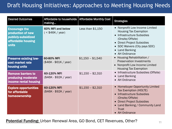#### Draft Housing Initiatives: Approaches to Meeting Housing Needs

| <b>Desired Outcomes</b>                                                                         | Affordable to households<br>making       | Affordable Monthly Cost | <b>Strategies</b>                                                                                                                                                                                                   |
|-------------------------------------------------------------------------------------------------|------------------------------------------|-------------------------|---------------------------------------------------------------------------------------------------------------------------------------------------------------------------------------------------------------------|
| <b>Encourage the</b><br>production of new<br>publicly-subsidized<br>affordable housing<br>units | 60% MFI and below<br>$($ < \$46K / year) | Less than \$1,150       | • Nonprofit Low Income Limited<br><b>Housing Tax Exemption</b><br>• Infrastructure Subsidies<br>(Onsite/Offsite)<br>• Direct Project Subsidies<br>• SDC Waivers (City pays SDC)<br>• Land Banking<br>• AH Ordinance |
| <b>Preserve existing low-</b><br>cost market rate<br>housing units                              | 60-80% MFI<br>$($46K - $61K / year)$     | $$1,150 - $1,540$       | • Housing Rehabilitation /<br><b>Preservation Investments</b><br>• Nonprofit Low Income Limited<br><b>Housing Tax Exemption</b>                                                                                     |
| <b>Remove barriers to</b><br>producing moderate<br>income rental housing                        | 60-120% MFI<br>$($46K - $92K / year)$    | $$1,150 - $2,310$       | • Infrastructure Subsidies (Offsite)<br>• Land Banking<br>• AH Ordinance                                                                                                                                            |
| <b>Explore opportunities</b><br>for affordable<br>homeownership                                 | 60-120% MFI<br>$($46K - $92K / year)$    | $$1,150 - $2,310$       | • Homebuyer Opportunity Limited<br>Tax Exemption (HOLTE)<br>• Infrastructure Subsidies<br>(Onsite/Offsite)<br>• Direct Project Subsidies<br>• Land Banking / Community Land<br><b>Trust</b><br>• AH Ordinance       |

**Potential Funding:** Urban Renewal Area, GO Bond, CET Revenues, Other?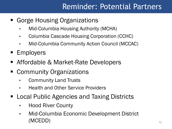## Reminder: Potential Partners

- Gorge Housing Organizations
	- Mid-Columbia Housing Authority (MCHA)
	- **Columbia Cascade Housing Corporation (CCHC)**
	- Mid-Columbia Community Action Council (MCCAC)
- **Employers**
- Affordable & Market-Rate Developers
- Community Organizations
	- **Exammunity Land Trusts**
	- **Health and Other Service Providers**
- Local Public Agencies and Taxing Districts
	- **Hood River County**
	- Mid-Columbia Economic Development District (MCEDD)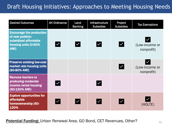#### Draft Housing Initiatives: Approaches to Meeting Housing Needs

| <b>Desired Outcomes</b>                                                                                      | <b>AH Ordinance</b>    | Land<br><b>Banking</b> | Infrastructure<br><b>Subsidies</b> | Project<br><b>Subsidies</b> | <b>Tax Exemptions</b>        |
|--------------------------------------------------------------------------------------------------------------|------------------------|------------------------|------------------------------------|-----------------------------|------------------------------|
| <b>Encourage the production</b><br>of new publicly-<br>subsidized affordable<br>housing units (0-60%<br>AMI) | $\checkmark$           | $ \mathcal{V} $        | $ \mathcal{V} $                    | $\overline{\mathsf{v}}$     | (Low-income or<br>nonprofit) |
| <b>Preserve existing low-cost</b><br>market rate housing units<br>(60-80% AMI)                               |                        |                        |                                    | $\blacktriangledown$        | (Low-income or<br>nonprofit) |
| <b>Remove barriers to</b><br>producing moderate<br>income rental housing<br>(60-120% AMI)                    | $\vert\checkmark\vert$ |                        | $ \boldsymbol{\vee} $              |                             |                              |
| <b>Explore opportunities for</b><br>affordable<br>homeownership (60-<br>120%                                 |                        |                        | $\overline{\mathsf{v}}$            |                             | (HOLTE)                      |

**Potential Funding:** Urban Renewal Area, GO Bond, CET Revenues, Other?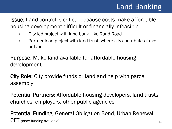# Land Banking

14

Issue: Land control is critical because costs make affordable housing development difficult or financially infeasible

- **EXEDENT** City-led project with land bank, like Rand Road
- Partner lead project with land trust, where city contributes funds or land

Purpose: Make land available for affordable housing development

City Role: City provide funds or land and help with parcel assembly

Potential Partners: Affordable housing developers, land trusts, churches, employers, other public agencies

Potential Funding: General Obligation Bond, Urban Renewal, CET (once funding available)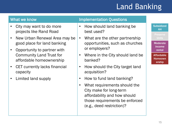# Land Banking

- City may want to do more projects like Rand Road
- New Urban Renewal Area may be good place for land banking
- Opportunity to partner with Community Land Trust for affordable homeownership
- CET currently lacks financial capacity
- Limited land supply

#### What we know **Implementation Questions**

- How should land banking be best used?
- What are the other partnership opportunities, such as churches or employers?
- Where in the City should land be banked?
- How should the City target land acquisition?
- How to fund land banking?
- What requirements should the City make for long-term affordability and how should those requirements be enforced (e.g., deed restriction)?

**Subsidized** AH

**Preserve** 

**Moderate** income rental

Affordable Homeown ership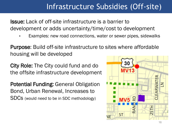## Infrastructure Subsidies (Off-site)

Issue: Lack of off-site infrastructure is a barrier to development or adds uncertainty/time/cost to development

Examples: new road connections, water or sewer pipes, sidewalks

Purpose: Build off-site infrastructure to sites where affordable housing will be developed

City Role: The City could fund and do the offsite infrastructure development

Potential Funding: General Obligation Bond, Urban Renewal, Increases to SDCs (would need to be in SDC methodology)

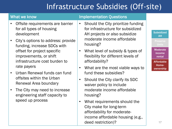## Infrastructure Subsidies (Off-site)

| <b>What we know</b>    |                                                                                                                                                                                                                                                                                   |           | <b>Implementation Questions</b>                                                                                                                                     |  |                                              |
|------------------------|-----------------------------------------------------------------------------------------------------------------------------------------------------------------------------------------------------------------------------------------------------------------------------------|-----------|---------------------------------------------------------------------------------------------------------------------------------------------------------------------|--|----------------------------------------------|
|                        | Offsite requirements are barrier<br>for all types of housing                                                                                                                                                                                                                      | $\bullet$ | Should the City prioritize funding<br>for infrastructure for subsidized                                                                                             |  | <b>Subsidized</b>                            |
|                        | development<br>City's options to address: provide<br>funding, increase SDCs with                                                                                                                                                                                                  |           | AH projects or also subsidize<br>moderate income affordable<br>housing?                                                                                             |  | <b>AH</b><br><b>Preserve</b><br><b>Units</b> |
|                        | offset for project specific<br>improvements, or shift<br>infrastructure cost burden to<br>rate payers<br>Urban Renewal funds can fund<br>offsites within the Urban<br>Renewal Area boundary<br>The City may need to increase<br>engineering staff capacity to<br>speed up process | $\bullet$ | What level of subsidy & types of<br>flexibility for different levels of<br>affordability?<br>What are the most viable ways to<br>$\bullet$<br>fund these subsidies? |  | <b>Moderate</b><br>income<br>rental          |
| $\bullet$<br>$\bullet$ |                                                                                                                                                                                                                                                                                   |           |                                                                                                                                                                     |  | <b>Affordable</b><br>Home-<br>ownership      |
|                        |                                                                                                                                                                                                                                                                                   | $\bullet$ | Should the City clarify its SDC<br>waiver policy to include                                                                                                         |  |                                              |
|                        |                                                                                                                                                                                                                                                                                   |           | moderate income affordable<br>housing?                                                                                                                              |  |                                              |
|                        |                                                                                                                                                                                                                                                                                   | $\bullet$ | What requirements should the<br>City make for long-term<br>affordability for moderate-<br>income affordable housing (e.g.,                                          |  |                                              |

deed restriction)?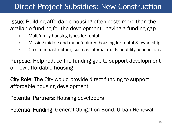### Direct Project Subsidies: New Construction

Issue: Building affordable housing often costs more than the available funding for the development, leaving a funding gap

- **Nultifamily housing types for rental**
- **Missing middle and manufactured housing for rental & ownership**
- On-site infrastructure, such as internal roads or utility connections

Purpose: Help reduce the funding gap to support development of new affordable housing

City Role: The City would provide direct funding to support affordable housing development

Potential Partners: Housing developers

Potential Funding: General Obligation Bond, Urban Renewal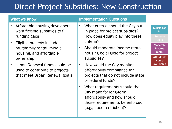## Direct Project Subsidies: New Construction

- Affordable housing developers want flexible subsidies to fill funding gaps
- Eligible projects include multifamily rental, middle housing, and affordable ownership
- Urban Renewal funds could be used to contribute to projects that meet Urban Renewal goals

#### What we know **Implementation Questions**

- What criteria should the City put in place for project subsidies? How does equity play into these criteria?
- Should moderate income rental housing be eligible for project subsidies?
- How would the City monitor affordability compliance for projects that do not include state or federal funds?
- What requirements should the City make for long-term affordability and how should those requirements be enforced (e.g., deed restriction)?

#### **Subsidized** AH

#### **Moderate** income rental

Affordable Homeownership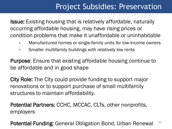### Project Subsidies: Preservation

Issue: Existing housing that is relatively affordable, naturally occurring affordable housing, may have rising prices or condition problems that make it unaffordable or uninhabitable

- **Manufactured homes or single-family units for low-income owners**
- Smaller multifamily buildings with relatively low rents

Purpose: Ensure that existing affordable housing continue to be affordable and in good shape

City Role: The City could provide funding to support major renovations or to support purchase of small multifamily structures to maintain affordability.

Potential Partners: CCHC, MCCAC, CLTs, other nonprofits, employers

Potential Funding: General Obligation Bond, Urban Renewal 20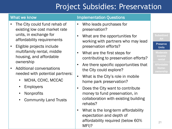# Project Subsidies: Preservation

- The City could fund rehab of existing low cost market rate units, in exchange for affordability requirements
- Eligible projects include multifamily rental, middle housing, and affordable ownership
- Additional conversations needed with potential partners:
	- MCHA, CCHC, MCCAC
	- Employers
	- Nonprofits
	- Community Land Trusts

#### What we know **Implementation Questions**

- Who leads purchases for preservation?
- What are the opportunities for working with partners who may lead preservation efforts?
- What are the first steps for contributing to preservation efforts?
- Are there specific opportunities that the City could explore?
- What is the City's role in mobile home park preservation?
- Does the City want to contribute money to fund preservation, in collaboration with existing building rehabs?
- What is the long-term affordability expectation and depth of affordability required (below 60% MFI)?

**Subsidized** AH

#### Preserve Units

**Moderate** income rental

Affordable Homeownership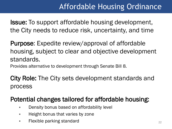# Affordable Housing Ordinance

**Issue:** To support affordable housing development, the City needs to reduce risk, uncertainty, and time

Purpose: Expedite review/approval of affordable housing, subject to clear and objective development standards.

Provides alternative to development through Senate Bill 8.

City Role: The City sets development standards and process

#### Potential changes tailored for affordable housing:

- **Density bonus based on affordability level**
- $\blacksquare$  Height bonus that varies by zone
- **Flexible parking standard**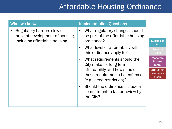# Affordable Housing Ordinance

| What we know |                                                                                                              |           | <b>Implementation Questions</b>                                                                                                                                                                                                                                                |                                                                                                                                                 |
|--------------|--------------------------------------------------------------------------------------------------------------|-----------|--------------------------------------------------------------------------------------------------------------------------------------------------------------------------------------------------------------------------------------------------------------------------------|-------------------------------------------------------------------------------------------------------------------------------------------------|
|              | Regulatory barriers slow or<br>prevent development of housing,<br>including affordable housing.<br>$\bullet$ |           | What regulatory changes should<br>be part of the affordable housing<br>ordinance?<br>What level of affordability will<br>this ordinance apply to?<br>What requirements should the<br>City make for long-term<br>affordability and how should<br>those requirements be enforced | <b>Subsidized</b><br><b>AH</b><br><b>Preserve</b><br><b>Units</b><br><b>Moderate</b><br>income<br>rental<br><b>Affordable</b><br><b>Homeown</b> |
|              |                                                                                                              | $\bullet$ | (e.g., deed restriction)?<br>Should the ordinance include a<br>commitment to faster review by<br>the City?                                                                                                                                                                     | ership                                                                                                                                          |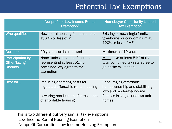### Potential Tax Exemptions

|                                                                    | <b>Nonprofit or Low-Income Rental</b><br>Exemption <sup>1</sup>                                                                     | <b>Homebuyer Opportunity Limited</b><br><b>Tax Exemption</b>                                                                     |
|--------------------------------------------------------------------|-------------------------------------------------------------------------------------------------------------------------------------|----------------------------------------------------------------------------------------------------------------------------------|
| <b>Who qualifies</b>                                               | New rental housing for households<br>at 60% or less of MFI.                                                                         | Existing or new single-family,<br>townhome, or condominium at<br>120% or less of MFI                                             |
| <b>Duration</b>                                                    | 20 years, can be renewed                                                                                                            | Maximum of 10 years                                                                                                              |
| <b>Participation by</b><br><b>Other Taxing</b><br><b>Districts</b> | None, unless boards of districts<br>representing at least 51% of<br>combined levy agree to the<br>exemption                         | Must have at least 51% of the<br>total combined tax rate agree to<br>grant the exemption                                         |
| Best for                                                           | Reducing operating costs for<br>regulated affordable rental housing<br>Lowering rent burdens for residents<br>of affordable housing | Encouraging affordable<br>homeownership and stabilizing<br>low- and moderate-income<br>families in single- and two-unit<br>homes |

 $1$  This is two different but very similar tax exemptions: Low-Income Rental Housing Exemption Nonprofit Corporation Low Income Housing Exemption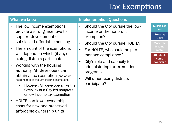# Tax Exemptions

- The low income exemptions provide a strong incentive to support development of subsidized affordable housing
- The amount of the exemptions will depend on which (if any) taxing districts participate
- Working with the housing authority, AH developers can obtain a tax exemption (and would need neither of the Low Income exemptions)
	- However, AH developers like the flexibility of a City-led nonprofit or low-income tax exemption
- HOLTE can lower ownership costs for new and preserved affordable ownership units

#### What we know **Implementation Questions**

- Should the City pursue the lowincome or the nonprofit exemption?
- Should the City pursue HOLTE?
- For HOLTE, who could help to manage compliance?
- City's role and capacity for administering tax exemption programs
- Will other taxing districts participate?

#### **Subsidized** AH Preserve

**Units Moderate** 

income rental

**Affordable** Homeownership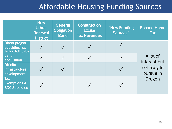### Affordable Housing Funding Sources

|                                                                          | New<br><b>Urban</b><br><b>Renewal</b><br><b>District</b> | <b>General</b><br><b>Obligation</b><br><b>Bond</b> | <b>Construction</b><br><b>Excise</b><br><b>Tax Revenues</b> | "New Funding<br>Sources" | <b>Second Home</b><br><b>Tax</b> |
|--------------------------------------------------------------------------|----------------------------------------------------------|----------------------------------------------------|-------------------------------------------------------------|--------------------------|----------------------------------|
| <b>Direct project</b><br><b>subsidies</b> (e.g.<br>funds to build units) |                                                          |                                                    |                                                             |                          |                                  |
| Land<br>acquisition                                                      |                                                          | $\sqrt{}$                                          |                                                             |                          | A lot of<br>interest but         |
| <b>Off-site</b><br>infrastructure<br>development                         |                                                          |                                                    |                                                             |                          | not easy to<br>pursue in         |
| <b>Tax</b><br><b>Exemptions &amp;</b><br><b>SDC Subsidies</b>            |                                                          |                                                    |                                                             |                          | Oregon                           |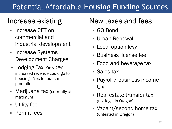# Potential Affordable Housing Funding Sources

### Increase existing

- Increase CET on commercial and industrial development
- Increase Systems Development Charges
- **Lodging Tax: Only 25%** increased revenue could go to housing; 75% to tourism promotion
- **Marijuana tax (currently at** maximum)
- Utility fee
- Permit fees

### New taxes and fees

- GO Bond
- Urban Renewal
- **Local option levy**
- Business license fee
- Food and beverage tax
- Sales tax
- Payroll / business income tax
- **Real estate transfer tax** (not legal in Oregon)
- Vacant/second home tax (untested in Oregon)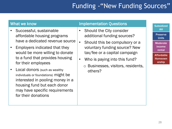### Funding - "New Funding Sources"

- Successful, sustainable affordable housing programs have a dedicated revenue source
- Employers indicated that they would be more willing to donate to a fund that provides housing for their employees
- Local donors (such as wealthy individuals or foundations) might be interested in pooling money in a housing fund but each donor may have specific requirements for their donations

#### What we know **Implementation Questions**

- Should the City consider additional funding sources?
- Should this be compulsory or a voluntary funding source? New tax/fee or a capital campaign
- Who is paying into this fund?
	- o Businesses, visitors, residents, others?

AH **Preserve** Units

**Subsidized** 

**Moderate** income rental

**Affordable Homeown** ership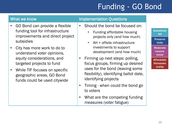# Funding - GO Bond

- GO Bond can provide a flexible funding tool for infrastructure improvements and direct project subsidies
- City has more work to do to understand voter opinions, equity considerations, and targeted projects to fund
- While TIF focuses on specific geographic areas, GO Bond funds could be used citywide

#### What we know **Implementation Questions**

- Should the bond be focused on:
	- Funding affordable housing projects only (and how much)
	- AH + offsite infrastructure investments to support development (and how much)
- Firming up next steps: polling, focus groups, firming up desired uses for the bond (leaving some flexibility), identifying ballot date, identifying projects
- Timing when could the bond go to voters
- What are the competing funding measures (voter fatigue)

**Subsidized** AH **Preserve** Units **Moderate** 

income rental **Affordable** 

**Homeown** ership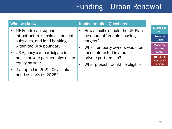# Funding - Urban Renewal

| What we know                                                                                                                                                                                                                                                            | <b>Implementation Questions</b>                                                                                                                                                                       |                                                                                                                                                           |
|-------------------------------------------------------------------------------------------------------------------------------------------------------------------------------------------------------------------------------------------------------------------------|-------------------------------------------------------------------------------------------------------------------------------------------------------------------------------------------------------|-----------------------------------------------------------------------------------------------------------------------------------------------------------|
| TIF Funds can support<br>infrastructure subsidies, project<br>subsidies, and land banking<br>within the URA boundary<br>UR Agency can participate in<br>public-private partnerships as an<br>equity partner<br>If adopted in 2022, City could<br>bond as early as 2025? | How specific should the UR Plan<br>be about affordable housing<br>targets?<br>Which property owners would be<br>most interested in a pubic<br>private partnership?<br>What projects would be eligible | <b>Subsidized</b><br><b>AH</b><br><b>Preserve</b><br><b>Units</b><br><b>Moderate</b><br>income<br>rental<br><b>Affordable</b><br><b>Homeown</b><br>ership |